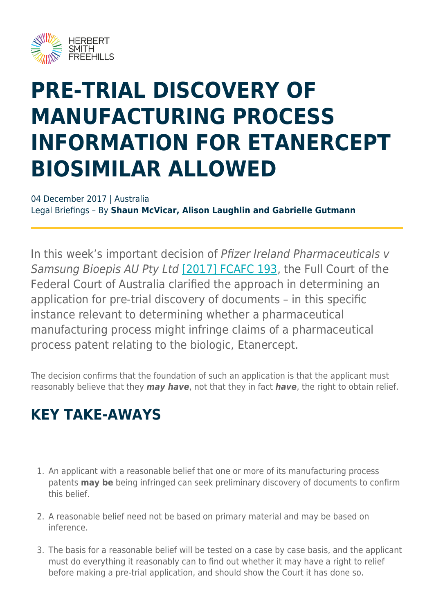

# **PRE-TRIAL DISCOVERY OF MANUFACTURING PROCESS INFORMATION FOR ETANERCEPT BIOSIMILAR ALLOWED**

04 December 2017 | Australia Legal Briefings – By **Shaun McVicar, Alison Laughlin and Gabrielle Gutmann**

In this week's important decision of Pfizer Ireland Pharmaceuticals v Samsung Bioepis AU Pty Ltd [\[2017\] FCAFC 193,](http://www.judgments.fedcourt.gov.au/judgments/Judgments/fca/full/2017/2017fcafc0193) the Full Court of the Federal Court of Australia clarified the approach in determining an application for pre-trial discovery of documents – in this specific instance relevant to determining whether a pharmaceutical manufacturing process might infringe claims of a pharmaceutical process patent relating to the biologic, Etanercept.

The decision confirms that the foundation of such an application is that the applicant must reasonably believe that they *may have*, not that they in fact *have*, the right to obtain relief.

#### **KEY TAKE-AWAYS**

- 1. An applicant with a reasonable belief that one or more of its manufacturing process patents **may be** being infringed can seek preliminary discovery of documents to confirm this belief.
- 2. A reasonable belief need not be based on primary material and may be based on inference.
- 3. The basis for a reasonable belief will be tested on a case by case basis, and the applicant must do everything it reasonably can to find out whether it may have a right to relief before making a pre-trial application, and should show the Court it has done so.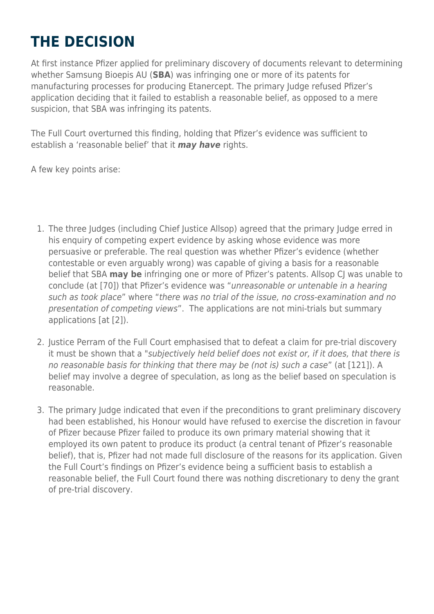# **THE DECISION**

At first instance Pfizer applied for preliminary discovery of documents relevant to determining whether Samsung Bioepis AU (**SBA**) was infringing one or more of its patents for manufacturing processes for producing Etanercept. The primary Judge refused Pfizer's application deciding that it failed to establish a reasonable belief, as opposed to a mere suspicion, that SBA was infringing its patents.

The Full Court overturned this finding, holding that Pfizer's evidence was sufficient to establish a 'reasonable belief' that it *may have* rights.

A few key points arise:

- 1. The three Judges (including Chief Justice Allsop) agreed that the primary Judge erred in his enquiry of competing expert evidence by asking whose evidence was more persuasive or preferable. The real question was whether Pfizer's evidence (whether contestable or even arguably wrong) was capable of giving a basis for a reasonable belief that SBA **may be** infringing one or more of Pfizer's patents. Allsop CJ was unable to conclude (at [70]) that Pfizer's evidence was "unreasonable or untenable in a hearing such as took place" where "there was no trial of the issue, no cross-examination and no presentation of competing views". The applications are not mini-trials but summary applications [at [2]).
- 2. Justice Perram of the Full Court emphasised that to defeat a claim for pre-trial discovery it must be shown that a "subjectively held belief does not exist or, if it does, that there is no reasonable basis for thinking that there may be (not is) such a case" (at [121]). A belief may involve a degree of speculation, as long as the belief based on speculation is reasonable.
- 3. The primary Judge indicated that even if the preconditions to grant preliminary discovery had been established, his Honour would have refused to exercise the discretion in favour of Pfizer because Pfizer failed to produce its own primary material showing that it employed its own patent to produce its product (a central tenant of Pfizer's reasonable belief), that is, Pfizer had not made full disclosure of the reasons for its application. Given the Full Court's findings on Pfizer's evidence being a sufficient basis to establish a reasonable belief, the Full Court found there was nothing discretionary to deny the grant of pre-trial discovery.